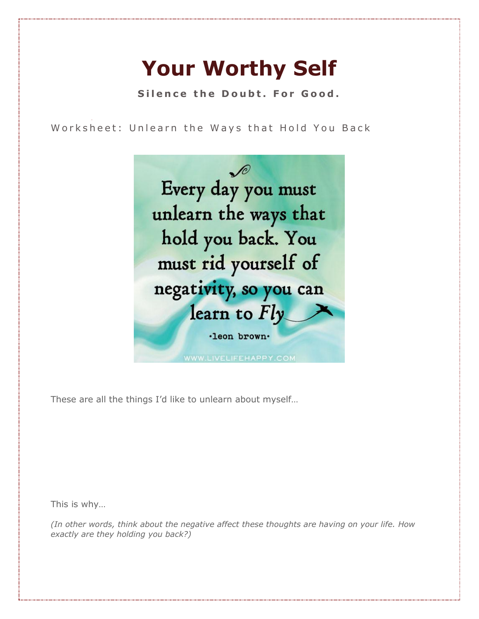## **Your Worthy Self**

**Silence the Doubt. For Good.** 

Worksheet: Unlearn the Ways that Hold You Back



These are all the things I'd like to unlearn about myself…

This is why…

*(In other words, think about the negative affect these thoughts are having on your life. How exactly are they holding you back?)*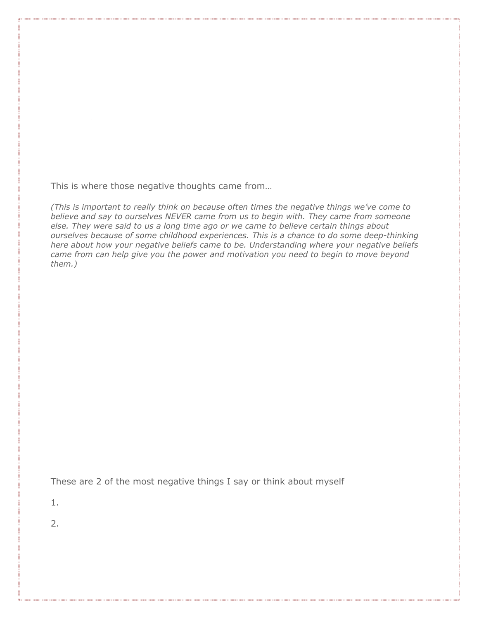This is where those negative thoughts came from…

*(This is important to really think on because often times the negative things we've come to believe and say to ourselves NEVER came from us to begin with. They came from someone else. They were said to us a long time ago or we came to believe certain things about ourselves because of some childhood experiences. This is a chance to do some deep-thinking here about how your negative beliefs came to be. Understanding where your negative beliefs came from can help give you the power and motivation you need to begin to move beyond them.)*

These are 2 of the most negative things I say or think about myself

1.

2.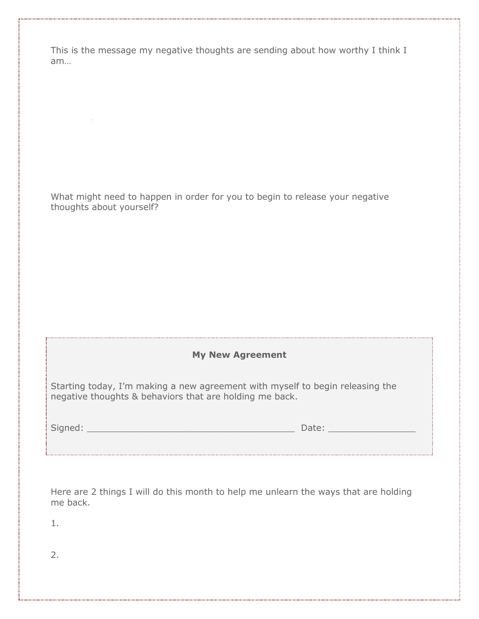This is the message my negative thoughts are sending about how worthy I think I am…

What might need to happen in order for you to begin to release your negative thoughts about yourself?

## **My New Agreement**

Starting today, I'm making a new agreement with myself to begin releasing the negative thoughts & behaviors that are holding me back.

Signed: \_\_\_\_\_\_\_\_\_\_\_\_\_\_\_\_\_\_\_\_\_\_\_\_\_\_\_\_\_\_\_\_\_\_\_\_\_\_ Date: \_\_\_\_\_\_\_\_\_\_\_\_\_\_\_\_

Here are 2 things I will do this month to help me unlearn the ways that are holding me back.

1.

2.